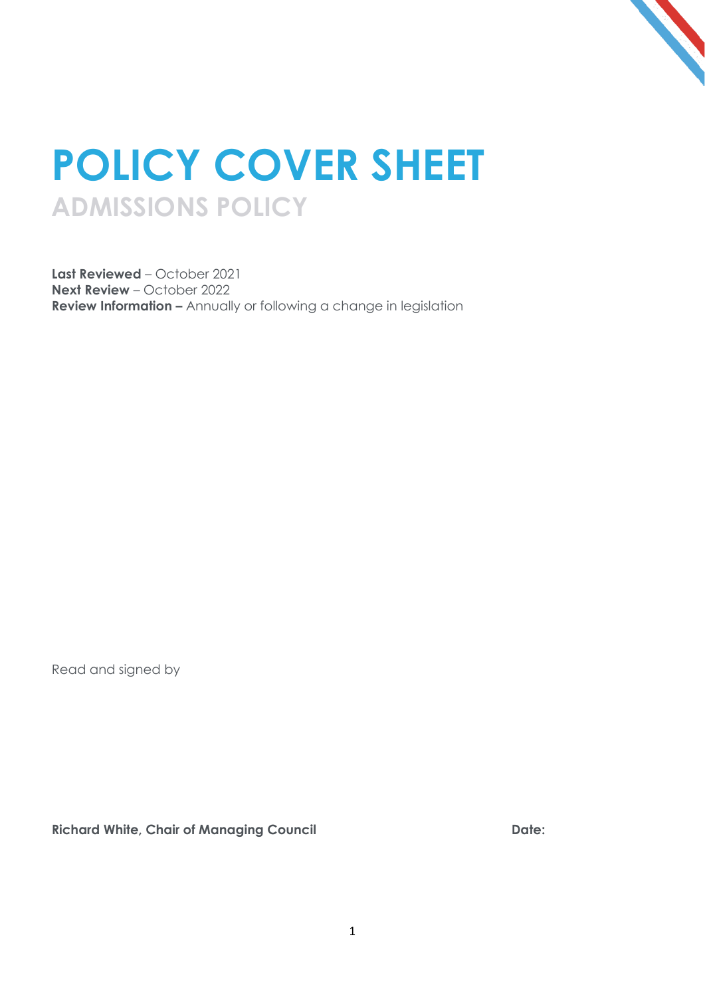

## **POLICY COVER SHEET ADMISSIONS POLICY**

**Last Reviewed** – October 2021 **Next Review** – October 2022 **Review Information –** Annually or following a change in legislation

Read and signed by

**Richard White, Chair of Managing Council Date:**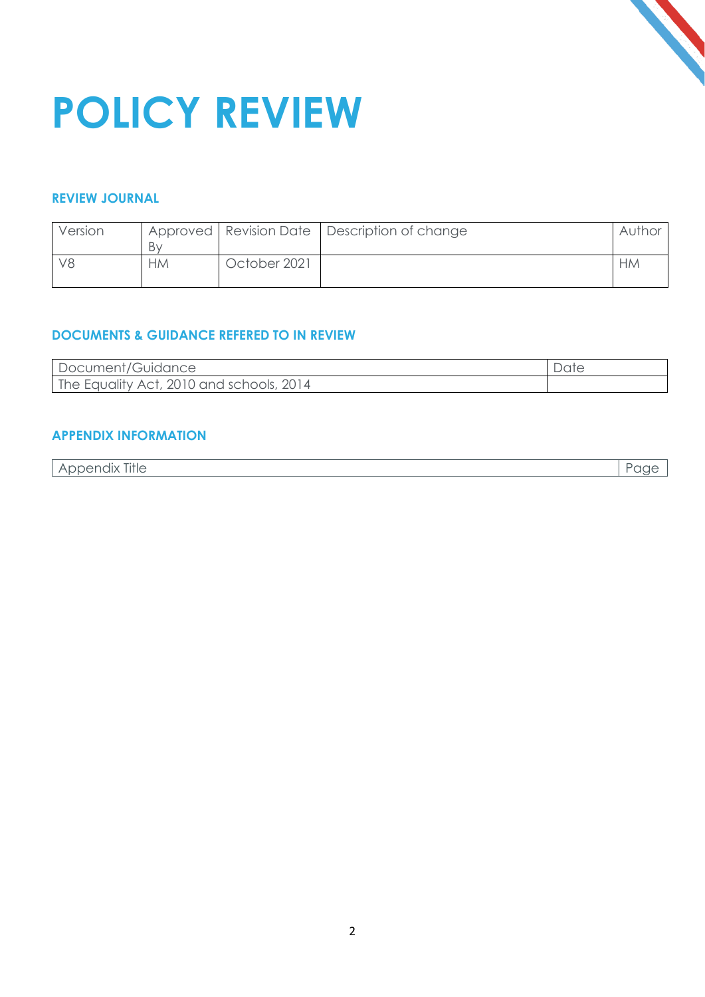

# **POLICY REVIEW**

#### **REVIEW JOURNAL**

| Version |           |              | Approved   Revision Date   Description of change | Author    |
|---------|-----------|--------------|--------------------------------------------------|-----------|
|         | Bv        |              |                                                  |           |
|         | <b>HM</b> | October 2021 |                                                  | <b>HM</b> |

#### **DOCUMENTS & GUIDANCE REFERED TO IN REVIEW**

| Document/Guidance                        |  |
|------------------------------------------|--|
| The Equality Act, 2010 and schools, 2014 |  |

#### **APPENDIX INFORMATION**

| $-1$<br>$\cdots$<br><u>.nnendix</u><br><b>Title</b><br>. XII.<br>$A$ $\cup$<br>$\tilde{}$<br>$\sim$<br>~ |  |
|----------------------------------------------------------------------------------------------------------|--|
|----------------------------------------------------------------------------------------------------------|--|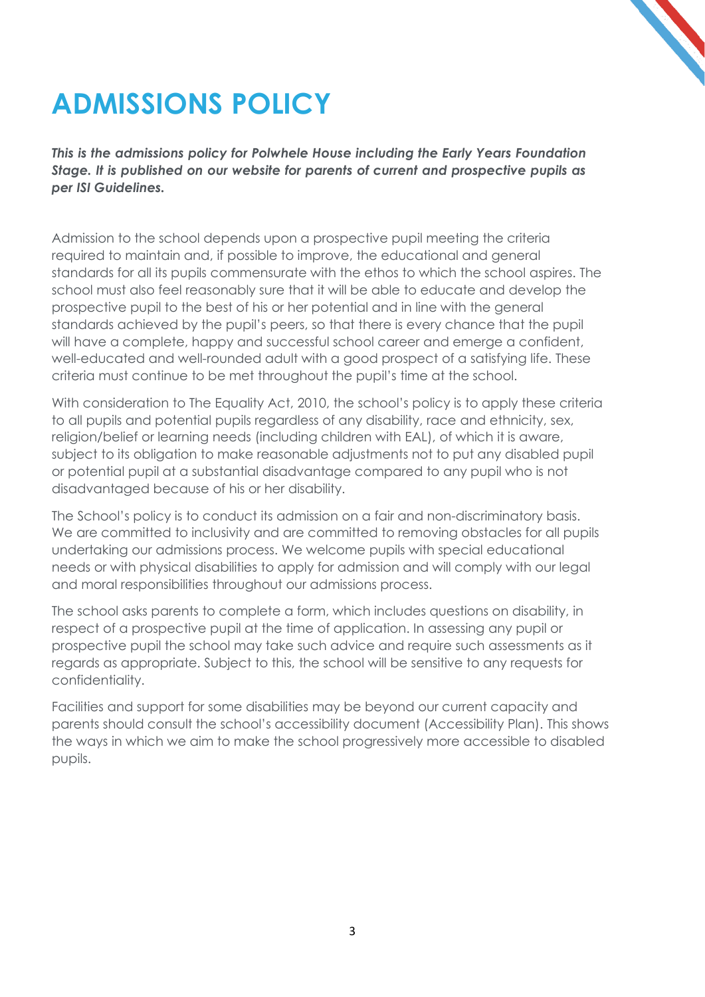

### **ADMISSIONS POLICY**

*This is the admissions policy for Polwhele House including the Early Years Foundation Stage. It is published on our website for parents of current and prospective pupils as per ISI Guidelines.*

Admission to the school depends upon a prospective pupil meeting the criteria required to maintain and, if possible to improve, the educational and general standards for all its pupils commensurate with the ethos to which the school aspires. The school must also feel reasonably sure that it will be able to educate and develop the prospective pupil to the best of his or her potential and in line with the general standards achieved by the pupil's peers, so that there is every chance that the pupil will have a complete, happy and successful school career and emerge a confident, well-educated and well-rounded adult with a good prospect of a satisfying life. These criteria must continue to be met throughout the pupil's time at the school.

With consideration to The Equality Act, 2010, the school's policy is to apply these criteria to all pupils and potential pupils regardless of any disability, race and ethnicity, sex, religion/belief or learning needs (including children with EAL), of which it is aware, subject to its obligation to make reasonable adjustments not to put any disabled pupil or potential pupil at a substantial disadvantage compared to any pupil who is not disadvantaged because of his or her disability.

The School's policy is to conduct its admission on a fair and non-discriminatory basis. We are committed to inclusivity and are committed to removing obstacles for all pupils undertaking our admissions process. We welcome pupils with special educational needs or with physical disabilities to apply for admission and will comply with our legal and moral responsibilities throughout our admissions process.

The school asks parents to complete a form, which includes questions on disability, in respect of a prospective pupil at the time of application. In assessing any pupil or prospective pupil the school may take such advice and require such assessments as it regards as appropriate. Subject to this, the school will be sensitive to any requests for confidentiality.

Facilities and support for some disabilities may be beyond our current capacity and parents should consult the school's accessibility document (Accessibility Plan). This shows the ways in which we aim to make the school progressively more accessible to disabled pupils.